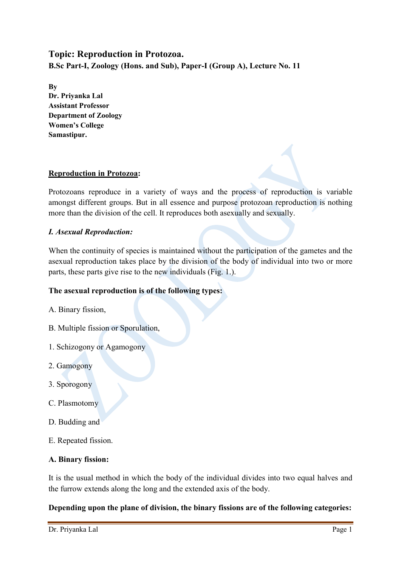# **Topic: Reproduction in Protozoa. B.Sc Part-I, Zoology (Hons. and Sub), Paper-I (Group A), Lecture No. 11**

**By Dr. Priyanka Lal Assistant Professor Department of Zoology Women's College Samastipur.**

# **Reproduction in Protozoa:**

Protozoans reproduce in a variety of ways and the process of reproduction is variable amongst different groups. But in all essence and purpose protozoan reproduction is nothing more than the division of the cell. It reproduces both asexually and sexually.

# *I. Asexual Reproduction:*

When the continuity of species is maintained without the participation of the gametes and the asexual reproduction takes place by the division of the body of individual into two or more parts, these parts give rise to the new individuals (Fig. 1.).

# **The asexual reproduction is of the following types:**

- A. Binary fission,
- B. Multiple fission or Sporulation,
- 1. Schizogony or Agamogony
- 2. Gamogony
- 3. Sporogony
- C. Plasmotomy
- D. Budding and
- E. Repeated fission.

# **A. Binary fission:**

It is the usual method in which the body of the individual divides into two equal halves and the furrow extends along the long and the extended axis of the body.

# **Depending upon the plane of division, the binary fissions are of the following categories:**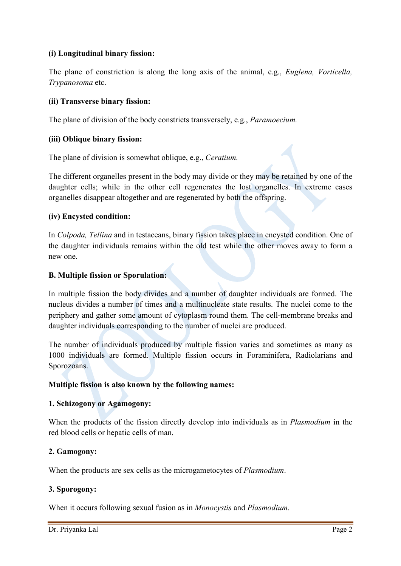# **(i) Longitudinal binary fission:**

The plane of constriction is along the long axis of the animal, e.g., *Euglena, Vorticella, Trypanosoma* etc.

### **(ii) Transverse binary fission:**

The plane of division of the body constricts transversely, e.g., *Paramoecium.*

### **(iii) Oblique binary fission:**

The plane of division is somewhat oblique, e.g., *Ceratium.*

The different organelles present in the body may divide or they may be retained by one of the daughter cells; while in the other cell regenerates the lost organelles. In extreme cases organelles disappear altogether and are regenerated by both the offspring.

#### **(iv) Encysted condition:**

In *Colpoda, Tellina* and in testaceans, binary fission takes place in encysted condition. One of the daughter individuals remains within the old test while the other moves away to form a new one.

### **B. Multiple fission or Sporulation:**

In multiple fission the body divides and a number of daughter individuals are formed. The nucleus divides a number of times and a multinucleate state results. The nuclei come to the periphery and gather some amount of cytoplasm round them. The cell-membrane breaks and daughter individuals corresponding to the number of nuclei are produced.

The number of individuals produced by multiple fission varies and sometimes as many as 1000 individuals are formed. Multiple fission occurs in Foraminifera, Radiolarians and Sporozoans.

#### **Multiple fission is also known by the following names:**

#### **1. Schizogony or Agamogony:**

When the products of the fission directly develop into individuals as in *Plasmodium* in the red blood cells or hepatic cells of man.

#### **2. Gamogony:**

When the products are sex cells as the microgametocytes of *Plasmodium*.

### **3. Sporogony:**

When it occurs following sexual fusion as in *Monocystis* and *Plasmodium.*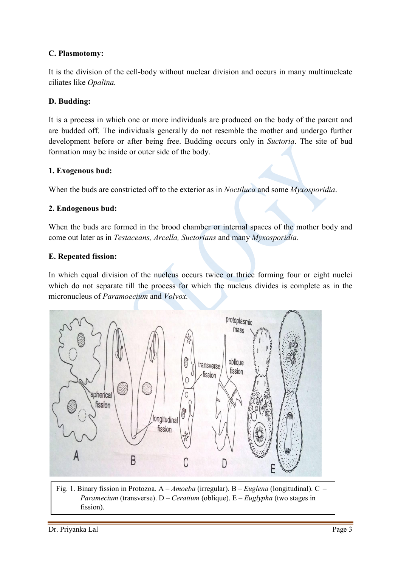# **C. Plasmotomy:**

It is the division of the cell-body without nuclear division and occurs in many multinucleate ciliates like *Opalina.*

# **D. Budding:**

It is a process in which one or more individuals are produced on the body of the parent and are budded off. The individuals generally do not resemble the mother and undergo further development before or after being free. Budding occurs only in *Suctoria*. The site of bud formation may be inside or outer side of the body.

## **1. Exogenous bud:**

When the buds are constricted off to the exterior as in *Noctiluca* and some *Myxosporidia*.

## **2. Endogenous bud:**

When the buds are formed in the brood chamber or internal spaces of the mother body and come out later as in *Testaceans, Arcella, Suctorians* and many *Myxosporidia.*

## **E. Repeated fission:**

In which equal division of the nucleus occurs twice or thrice forming four or eight nuclei which do not separate till the process for which the nucleus divides is complete as in the micronucleus of *Paramoecium* and *Volvox.*



Fig. 1. Binary fission in Protozoa. A – *Amoeba* (irregular). B – *Euglena* (longitudinal). C – *Paramecium* (transverse). D – *Ceratium* (oblique). E – *Euglypha* (two stages in fission).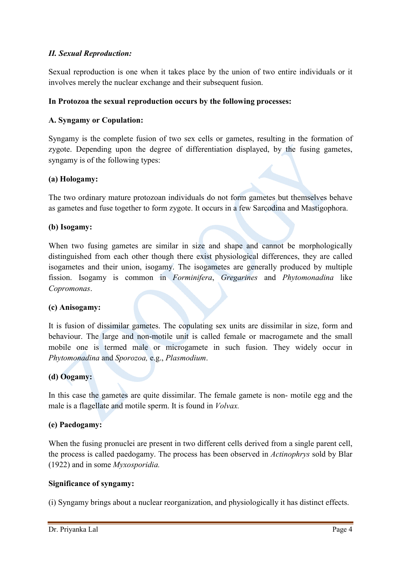# *II. Sexual Reproduction:*

Sexual reproduction is one when it takes place by the union of two entire individuals or it involves merely the nuclear exchange and their subsequent fusion.

## **In Protozoa the sexual reproduction occurs by the following processes:**

## **A. Syngamy or Copulation:**

Syngamy is the complete fusion of two sex cells or gametes, resulting in the formation of zygote. Depending upon the degree of differentiation displayed, by the fusing gametes, syngamy is of the following types:

### **(a) Hologamy:**

The two ordinary mature protozoan individuals do not form gametes but themselves behave as gametes and fuse together to form zygote. It occurs in a few Sarcodina and Mastigophora.

## **(b) Isogamy:**

When two fusing gametes are similar in size and shape and cannot be morphologically distinguished from each other though there exist physiological differences, they are called isogametes and their union, isogamy. The isogametes are generally produced by multiple fission. Isogamy is common in *Forminifera*, *Gregarines* and *Phytomonadina* like *Copromonas*.

### **(c) Anisogamy:**

It is fusion of dissimilar gametes. The copulating sex units are dissimilar in size, form and behaviour. The large and non-motile unit is called female or macrogamete and the small mobile one is termed male or microgamete in such fusion. They widely occur in *Phytomonadina* and *Sporozoa,* e.g., *Plasmodium*.

# **(d) Oogamy:**

In this case the gametes are quite dissimilar. The female gamete is non- motile egg and the male is a flagellate and motile sperm. It is found in *Volvax.*

### **(e) Paedogamy:**

When the fusing pronuclei are present in two different cells derived from a single parent cell, the process is called paedogamy. The process has been observed in *Actinophrys* sold by Blar (1922) and in some *Myxosporidia.*

### **Significance of syngamy:**

(i) Syngamy brings about a nuclear reorganization, and physiologically it has distinct effects.